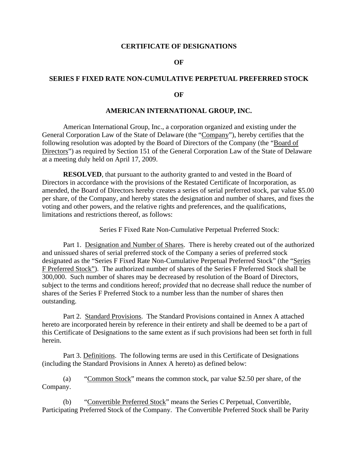### **CERTIFICATE OF DESIGNATIONS**

### **OF**

## **SERIES F FIXED RATE NON-CUMULATIVE PERPETUAL PREFERRED STOCK**

### **OF**

### **AMERICAN INTERNATIONAL GROUP, INC.**

American International Group, Inc., a corporation organized and existing under the General Corporation Law of the State of Delaware (the "Company"), hereby certifies that the following resolution was adopted by the Board of Directors of the Company (the "Board of Directors") as required by Section 151 of the General Corporation Law of the State of Delaware at a meeting duly held on April 17, 2009.

**RESOLVED**, that pursuant to the authority granted to and vested in the Board of Directors in accordance with the provisions of the Restated Certificate of Incorporation, as amended, the Board of Directors hereby creates a series of serial preferred stock, par value \$5.00 per share, of the Company, and hereby states the designation and number of shares, and fixes the voting and other powers, and the relative rights and preferences, and the qualifications, limitations and restrictions thereof, as follows:

Series F Fixed Rate Non-Cumulative Perpetual Preferred Stock:

Part 1. Designation and Number of Shares. There is hereby created out of the authorized and unissued shares of serial preferred stock of the Company a series of preferred stock designated as the "Series F Fixed Rate Non-Cumulative Perpetual Preferred Stock" (the "Series F Preferred Stock"). The authorized number of shares of the Series F Preferred Stock shall be 300,000. Such number of shares may be decreased by resolution of the Board of Directors, subject to the terms and conditions hereof; *provided* that no decrease shall reduce the number of shares of the Series F Preferred Stock to a number less than the number of shares then outstanding.

Part 2. Standard Provisions. The Standard Provisions contained in Annex A attached hereto are incorporated herein by reference in their entirety and shall be deemed to be a part of this Certificate of Designations to the same extent as if such provisions had been set forth in full herein.

Part 3. Definitions. The following terms are used in this Certificate of Designations (including the Standard Provisions in Annex A hereto) as defined below:

 (a) "Common Stock" means the common stock, par value \$2.50 per share, of the Company.

 (b) "Convertible Preferred Stock" means the Series C Perpetual, Convertible, Participating Preferred Stock of the Company. The Convertible Preferred Stock shall be Parity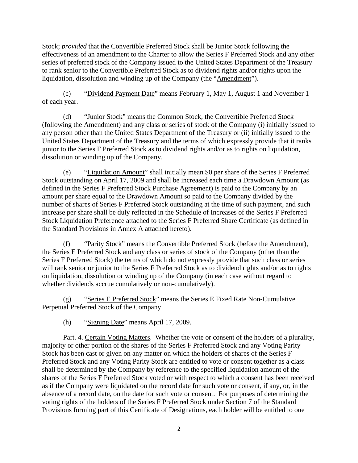Stock; *provided* that the Convertible Preferred Stock shall be Junior Stock following the effectiveness of an amendment to the Charter to allow the Series F Preferred Stock and any other series of preferred stock of the Company issued to the United States Department of the Treasury to rank senior to the Convertible Preferred Stock as to dividend rights and/or rights upon the liquidation, dissolution and winding up of the Company (the "Amendment").

 (c) "Dividend Payment Date" means February 1, May 1, August 1 and November 1 of each year.

 (d) "Junior Stock" means the Common Stock, the Convertible Preferred Stock (following the Amendment) and any class or series of stock of the Company (i) initially issued to any person other than the United States Department of the Treasury or (ii) initially issued to the United States Department of the Treasury and the terms of which expressly provide that it ranks junior to the Series F Preferred Stock as to dividend rights and/or as to rights on liquidation, dissolution or winding up of the Company.

 (e) "Liquidation Amount" shall initially mean \$0 per share of the Series F Preferred Stock outstanding on April 17, 2009 and shall be increased each time a Drawdown Amount (as defined in the Series F Preferred Stock Purchase Agreement) is paid to the Company by an amount per share equal to the Drawdown Amount so paid to the Company divided by the number of shares of Series F Preferred Stock outstanding at the time of such payment, and such increase per share shall be duly reflected in the Schedule of Increases of the Series F Preferred Stock Liquidation Preference attached to the Series F Preferred Share Certificate (as defined in the Standard Provisions in Annex A attached hereto).

 (f) "Parity Stock" means the Convertible Preferred Stock (before the Amendment), the Series E Preferred Stock and any class or series of stock of the Company (other than the Series F Preferred Stock) the terms of which do not expressly provide that such class or series will rank senior or junior to the Series F Preferred Stock as to dividend rights and/or as to rights on liquidation, dissolution or winding up of the Company (in each case without regard to whether dividends accrue cumulatively or non-cumulatively).

 (g) "Series E Preferred Stock" means the Series E Fixed Rate Non-Cumulative Perpetual Preferred Stock of the Company.

(h) "Signing Date" means April 17, 2009.

Part. 4. Certain Voting Matters. Whether the vote or consent of the holders of a plurality, majority or other portion of the shares of the Series F Preferred Stock and any Voting Parity Stock has been cast or given on any matter on which the holders of shares of the Series F Preferred Stock and any Voting Parity Stock are entitled to vote or consent together as a class shall be determined by the Company by reference to the specified liquidation amount of the shares of the Series F Preferred Stock voted or with respect to which a consent has been received as if the Company were liquidated on the record date for such vote or consent, if any, or, in the absence of a record date, on the date for such vote or consent. For purposes of determining the voting rights of the holders of the Series F Preferred Stock under Section 7 of the Standard Provisions forming part of this Certificate of Designations, each holder will be entitled to one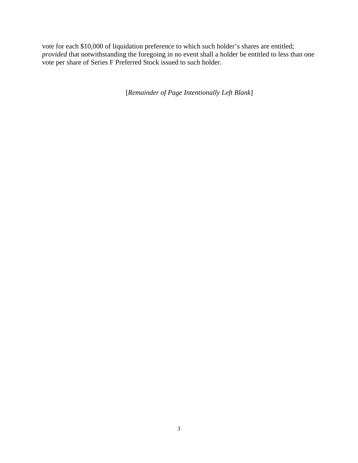vote for each \$10,000 of liquidation preference to which such holder's shares are entitled; *provided* that notwithstanding the foregoing in no event shall a holder be entitled to less than one vote per share of Series F Preferred Stock issued to such holder.

[*Remainder of Page Intentionally Left Blank*]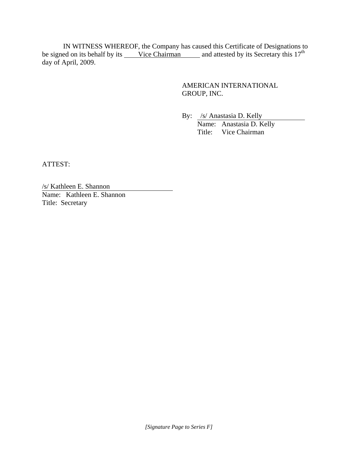IN WITNESS WHEREOF, the Company has caused this Certificate of Designations to be signed on its behalf by its Vice Chairman and attested by its Secretary this  $17<sup>th</sup>$ day of April, 2009.

# AMERICAN INTERNATIONAL GROUP, INC.

By: /s/ Anastasia D. Kelly

Name: Anastasia D. Kelly Title: Vice Chairman

ATTEST:

/s/ Kathleen E. Shannon Name: Kathleen E. Shannon Title: Secretary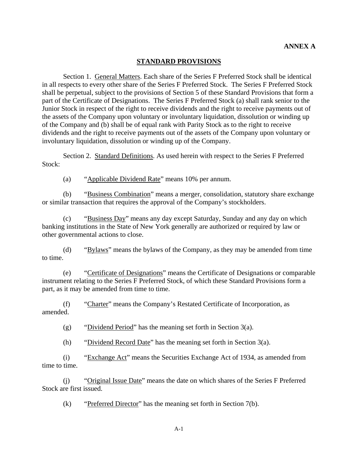## **STANDARD PROVISIONS**

Section 1. General Matters. Each share of the Series F Preferred Stock shall be identical in all respects to every other share of the Series F Preferred Stock. The Series F Preferred Stock shall be perpetual, subject to the provisions of Section 5 of these Standard Provisions that form a part of the Certificate of Designations. The Series F Preferred Stock (a) shall rank senior to the Junior Stock in respect of the right to receive dividends and the right to receive payments out of the assets of the Company upon voluntary or involuntary liquidation, dissolution or winding up of the Company and (b) shall be of equal rank with Parity Stock as to the right to receive dividends and the right to receive payments out of the assets of the Company upon voluntary or involuntary liquidation, dissolution or winding up of the Company.

Section 2. Standard Definitions. As used herein with respect to the Series F Preferred Stock:

(a) "Applicable Dividend Rate" means 10% per annum.

(b) "Business Combination" means a merger, consolidation, statutory share exchange or similar transaction that requires the approval of the Company's stockholders.

(c) "Business Day" means any day except Saturday, Sunday and any day on which banking institutions in the State of New York generally are authorized or required by law or other governmental actions to close.

(d) "Bylaws" means the bylaws of the Company, as they may be amended from time to time.

(e) "Certificate of Designations" means the Certificate of Designations or comparable instrument relating to the Series F Preferred Stock, of which these Standard Provisions form a part, as it may be amended from time to time.

(f) "Charter" means the Company's Restated Certificate of Incorporation, as amended.

(g) "Dividend Period" has the meaning set forth in Section 3(a).

(h) "Dividend Record Date" has the meaning set forth in Section  $3(a)$ .

(i) "Exchange Act" means the Securities Exchange Act of 1934, as amended from time to time.

(j) "Original Issue Date" means the date on which shares of the Series F Preferred Stock are first issued.

(k) "Preferred Director" has the meaning set forth in Section 7(b).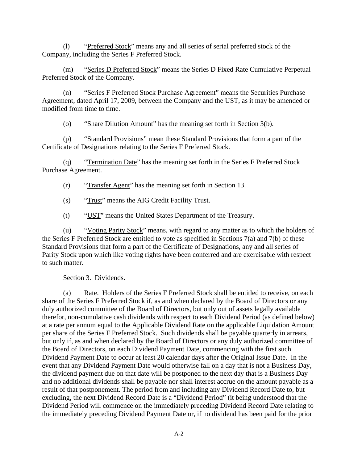(l) "Preferred Stock" means any and all series of serial preferred stock of the Company, including the Series F Preferred Stock.

(m) "Series D Preferred Stock" means the Series D Fixed Rate Cumulative Perpetual Preferred Stock of the Company.

(n) "Series F Preferred Stock Purchase Agreement" means the Securities Purchase Agreement, dated April 17, 2009, between the Company and the UST, as it may be amended or modified from time to time.

(o) "Share Dilution Amount" has the meaning set forth in Section 3(b).

(p) "Standard Provisions" mean these Standard Provisions that form a part of the Certificate of Designations relating to the Series F Preferred Stock.

(q) "Termination Date" has the meaning set forth in the Series F Preferred Stock Purchase Agreement.

(r) "Transfer Agent" has the meaning set forth in [Section 13.](#page-14-0)

(s) "Trust" means the AIG Credit Facility Trust.

(t) "UST" means the United States Department of the Treasury.

(u) "Voting Parity Stock" means, with regard to any matter as to which the holders of the Series F Preferred Stock are entitled to vote as specified in Sections 7(a) and 7(b) of these Standard Provisions that form a part of the Certificate of Designations, any and all series of Parity Stock upon which like voting rights have been conferred and are exercisable with respect to such matter.

Section 3. Dividends.

(a) Rate. Holders of the Series F Preferred Stock shall be entitled to receive, on each share of the Series F Preferred Stock if, as and when declared by the Board of Directors or any duly authorized committee of the Board of Directors, but only out of assets legally available therefor, non-cumulative cash dividends with respect to each Dividend Period (as defined below) at a rate per annum equal to the Applicable Dividend Rate on the applicable Liquidation Amount per share of the Series F Preferred Stock. Such dividends shall be payable quarterly in arrears, but only if, as and when declared by the Board of Directors or any duly authorized committee of the Board of Directors, on each Dividend Payment Date, commencing with the first such Dividend Payment Date to occur at least 20 calendar days after the Original Issue Date. In the event that any Dividend Payment Date would otherwise fall on a day that is not a Business Day, the dividend payment due on that date will be postponed to the next day that is a Business Day and no additional dividends shall be payable nor shall interest accrue on the amount payable as a result of that postponement. The period from and including any Dividend Record Date to, but excluding, the next Dividend Record Date is a "Dividend Period" (it being understood that the Dividend Period will commence on the immediately preceding Dividend Record Date relating to the immediately preceding Dividend Payment Date or, if no dividend has been paid for the prior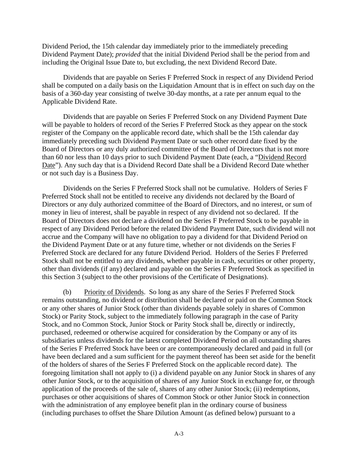Dividend Period, the 15th calendar day immediately prior to the immediately preceding Dividend Payment Date); *provided* that the initial Dividend Period shall be the period from and including the Original Issue Date to, but excluding, the next Dividend Record Date.

Dividends that are payable on Series F Preferred Stock in respect of any Dividend Period shall be computed on a daily basis on the Liquidation Amount that is in effect on such day on the basis of a 360-day year consisting of twelve 30-day months, at a rate per annum equal to the Applicable Dividend Rate.

Dividends that are payable on Series F Preferred Stock on any Dividend Payment Date will be payable to holders of record of the Series F Preferred Stock as they appear on the stock register of the Company on the applicable record date, which shall be the 15th calendar day immediately preceding such Dividend Payment Date or such other record date fixed by the Board of Directors or any duly authorized committee of the Board of Directors that is not more than 60 nor less than 10 days prior to such Dividend Payment Date (each, a "Dividend Record Date"). Any such day that is a Dividend Record Date shall be a Dividend Record Date whether or not such day is a Business Day.

Dividends on the Series F Preferred Stock shall not be cumulative. Holders of Series F Preferred Stock shall not be entitled to receive any dividends not declared by the Board of Directors or any duly authorized committee of the Board of Directors, and no interest, or sum of money in lieu of interest, shall be payable in respect of any dividend not so declared. If the Board of Directors does not declare a dividend on the Series F Preferred Stock to be payable in respect of any Dividend Period before the related Dividend Payment Date, such dividend will not accrue and the Company will have no obligation to pay a dividend for that Dividend Period on the Dividend Payment Date or at any future time, whether or not dividends on the Series F Preferred Stock are declared for any future Dividend Period. Holders of the Series F Preferred Stock shall not be entitled to any dividends, whether payable in cash, securities or other property, other than dividends (if any) declared and payable on the Series F Preferred Stock as specified in this Section 3 (subject to the other provisions of the Certificate of Designations).

(b) Priority of Dividends. So long as any share of the Series F Preferred Stock remains outstanding, no dividend or distribution shall be declared or paid on the Common Stock or any other shares of Junior Stock (other than dividends payable solely in shares of Common Stock) or Parity Stock, subject to the immediately following paragraph in the case of Parity Stock, and no Common Stock, Junior Stock or Parity Stock shall be, directly or indirectly, purchased, redeemed or otherwise acquired for consideration by the Company or any of its subsidiaries unless dividends for the latest completed Dividend Period on all outstanding shares of the Series F Preferred Stock have been or are contemporaneously declared and paid in full (or have been declared and a sum sufficient for the payment thereof has been set aside for the benefit of the holders of shares of the Series F Preferred Stock on the applicable record date). The foregoing limitation shall not apply to (i) a dividend payable on any Junior Stock in shares of any other Junior Stock, or to the acquisition of shares of any Junior Stock in exchange for, or through application of the proceeds of the sale of, shares of any other Junior Stock; (ii) redemptions, purchases or other acquisitions of shares of Common Stock or other Junior Stock in connection with the administration of any employee benefit plan in the ordinary course of business (including purchases to offset the Share Dilution Amount (as defined below) pursuant to a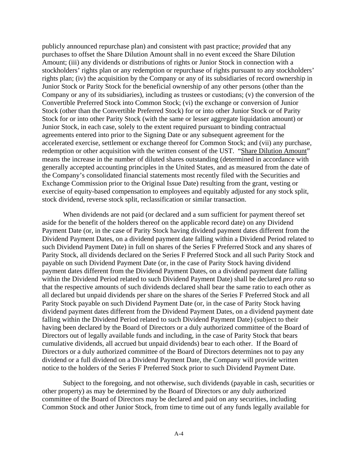publicly announced repurchase plan) and consistent with past practice; *provided* that any purchases to offset the Share Dilution Amount shall in no event exceed the Share Dilution Amount; (iii) any dividends or distributions of rights or Junior Stock in connection with a stockholders' rights plan or any redemption or repurchase of rights pursuant to any stockholders' rights plan; (iv) the acquisition by the Company or any of its subsidiaries of record ownership in Junior Stock or Parity Stock for the beneficial ownership of any other persons (other than the Company or any of its subsidiaries), including as trustees or custodians; (v) the conversion of the Convertible Preferred Stock into Common Stock; (vi) the exchange or conversion of Junior Stock (other than the Convertible Preferred Stock) for or into other Junior Stock or of Parity Stock for or into other Parity Stock (with the same or lesser aggregate liquidation amount) or Junior Stock, in each case, solely to the extent required pursuant to binding contractual agreements entered into prior to the Signing Date or any subsequent agreement for the accelerated exercise, settlement or exchange thereof for Common Stock; and (vii) any purchase, redemption or other acquisition with the written consent of the UST. "Share Dilution Amount" means the increase in the number of diluted shares outstanding (determined in accordance with generally accepted accounting principles in the United States, and as measured from the date of the Company's consolidated financial statements most recently filed with the Securities and Exchange Commission prior to the Original Issue Date) resulting from the grant, vesting or exercise of equity-based compensation to employees and equitably adjusted for any stock split, stock dividend, reverse stock split, reclassification or similar transaction.

When dividends are not paid (or declared and a sum sufficient for payment thereof set aside for the benefit of the holders thereof on the applicable record date) on any Dividend Payment Date (or, in the case of Parity Stock having dividend payment dates different from the Dividend Payment Dates, on a dividend payment date falling within a Dividend Period related to such Dividend Payment Date) in full on shares of the Series F Preferred Stock and any shares of Parity Stock, all dividends declared on the Series F Preferred Stock and all such Parity Stock and payable on such Dividend Payment Date (or, in the case of Parity Stock having dividend payment dates different from the Dividend Payment Dates, on a dividend payment date falling within the Dividend Period related to such Dividend Payment Date) shall be declared *pro rata* so that the respective amounts of such dividends declared shall bear the same ratio to each other as all declared but unpaid dividends per share on the shares of the Series F Preferred Stock and all Parity Stock payable on such Dividend Payment Date (or, in the case of Parity Stock having dividend payment dates different from the Dividend Payment Dates, on a dividend payment date falling within the Dividend Period related to such Dividend Payment Date) (subject to their having been declared by the Board of Directors or a duly authorized committee of the Board of Directors out of legally available funds and including, in the case of Parity Stock that bears cumulative dividends, all accrued but unpaid dividends) bear to each other. If the Board of Directors or a duly authorized committee of the Board of Directors determines not to pay any dividend or a full dividend on a Dividend Payment Date, the Company will provide written notice to the holders of the Series F Preferred Stock prior to such Dividend Payment Date.

Subject to the foregoing, and not otherwise, such dividends (payable in cash, securities or other property) as may be determined by the Board of Directors or any duly authorized committee of the Board of Directors may be declared and paid on any securities, including Common Stock and other Junior Stock, from time to time out of any funds legally available for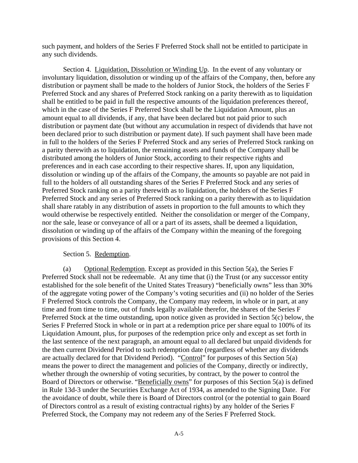such payment, and holders of the Series F Preferred Stock shall not be entitled to participate in any such dividends.

Section 4. Liquidation, Dissolution or Winding Up. In the event of any voluntary or involuntary liquidation, dissolution or winding up of the affairs of the Company, then, before any distribution or payment shall be made to the holders of Junior Stock, the holders of the Series F Preferred Stock and any shares of Preferred Stock ranking on a parity therewith as to liquidation shall be entitled to be paid in full the respective amounts of the liquidation preferences thereof, which in the case of the Series F Preferred Stock shall be the Liquidation Amount, plus an amount equal to all dividends, if any, that have been declared but not paid prior to such distribution or payment date (but without any accumulation in respect of dividends that have not been declared prior to such distribution or payment date). If such payment shall have been made in full to the holders of the Series F Preferred Stock and any series of Preferred Stock ranking on a parity therewith as to liquidation, the remaining assets and funds of the Company shall be distributed among the holders of Junior Stock, according to their respective rights and preferences and in each case according to their respective shares. If, upon any liquidation, dissolution or winding up of the affairs of the Company, the amounts so payable are not paid in full to the holders of all outstanding shares of the Series F Preferred Stock and any series of Preferred Stock ranking on a parity therewith as to liquidation, the holders of the Series F Preferred Stock and any series of Preferred Stock ranking on a parity therewith as to liquidation shall share ratably in any distribution of assets in proportion to the full amounts to which they would otherwise be respectively entitled. Neither the consolidation or merger of the Company, nor the sale, lease or conveyance of all or a part of its assets, shall be deemed a liquidation, dissolution or winding up of the affairs of the Company within the meaning of the foregoing provisions of this Section 4.

### Section 5. Redemption.

(a) Optional Redemption. Except as provided in this Section 5(a), the Series F Preferred Stock shall not be redeemable. At any time that (i) the Trust (or any successor entity established for the sole benefit of the United States Treasury) "beneficially owns" less than 30% of the aggregate voting power of the Company's voting securities and (ii) no holder of the Series F Preferred Stock controls the Company, the Company may redeem, in whole or in part, at any time and from time to time, out of funds legally available therefor, the shares of the Series F Preferred Stock at the time outstanding, upon notice given as provided in Section 5(c) below, the Series F Preferred Stock in whole or in part at a redemption price per share equal to 100% of its Liquidation Amount, plus, for purposes of the redemption price only and except as set forth in the last sentence of the next paragraph, an amount equal to all declared but unpaid dividends for the then current Dividend Period to such redemption date (regardless of whether any dividends are actually declared for that Dividend Period). "Control" for purposes of this Section 5(a) means the power to direct the management and policies of the Company, directly or indirectly, whether through the ownership of voting securities, by contract, by the power to control the Board of Directors or otherwise. "Beneficially owns" for purposes of this Section 5(a) is defined in Rule 13d-3 under the Securities Exchange Act of 1934, as amended to the Signing Date. For the avoidance of doubt, while there is Board of Directors control (or the potential to gain Board of Directors control as a result of existing contractual rights) by any holder of the Series F Preferred Stock, the Company may not redeem any of the Series F Preferred Stock.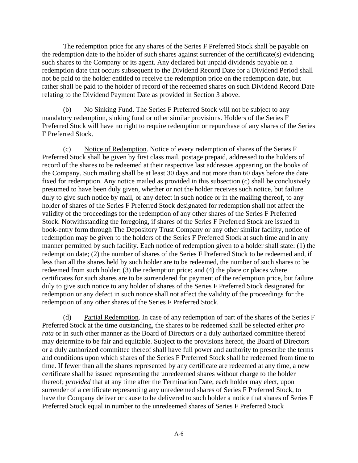The redemption price for any shares of the Series F Preferred Stock shall be payable on the redemption date to the holder of such shares against surrender of the certificate(s) evidencing such shares to the Company or its agent. Any declared but unpaid dividends payable on a redemption date that occurs subsequent to the Dividend Record Date for a Dividend Period shall not be paid to the holder entitled to receive the redemption price on the redemption date, but rather shall be paid to the holder of record of the redeemed shares on such Dividend Record Date relating to the Dividend Payment Date as provided in Section 3 above.

(b) No Sinking Fund. The Series F Preferred Stock will not be subject to any mandatory redemption, sinking fund or other similar provisions. Holders of the Series F Preferred Stock will have no right to require redemption or repurchase of any shares of the Series F Preferred Stock.

(c) Notice of Redemption. Notice of every redemption of shares of the Series F Preferred Stock shall be given by first class mail, postage prepaid, addressed to the holders of record of the shares to be redeemed at their respective last addresses appearing on the books of the Company. Such mailing shall be at least 30 days and not more than 60 days before the date fixed for redemption. Any notice mailed as provided in this subsection (c) shall be conclusively presumed to have been duly given, whether or not the holder receives such notice, but failure duly to give such notice by mail, or any defect in such notice or in the mailing thereof, to any holder of shares of the Series F Preferred Stock designated for redemption shall not affect the validity of the proceedings for the redemption of any other shares of the Series F Preferred Stock. Notwithstanding the foregoing, if shares of the Series F Preferred Stock are issued in book-entry form through The Depository Trust Company or any other similar facility, notice of redemption may be given to the holders of the Series F Preferred Stock at such time and in any manner permitted by such facility. Each notice of redemption given to a holder shall state: (1) the redemption date; (2) the number of shares of the Series F Preferred Stock to be redeemed and, if less than all the shares held by such holder are to be redeemed, the number of such shares to be redeemed from such holder; (3) the redemption price; and (4) the place or places where certificates for such shares are to be surrendered for payment of the redemption price, but failure duly to give such notice to any holder of shares of the Series F Preferred Stock designated for redemption or any defect in such notice shall not affect the validity of the proceedings for the redemption of any other shares of the Series F Preferred Stock.

(d) Partial Redemption. In case of any redemption of part of the shares of the Series F Preferred Stock at the time outstanding, the shares to be redeemed shall be selected either *pro rata* or in such other manner as the Board of Directors or a duly authorized committee thereof may determine to be fair and equitable. Subject to the provisions hereof, the Board of Directors or a duly authorized committee thereof shall have full power and authority to prescribe the terms and conditions upon which shares of the Series F Preferred Stock shall be redeemed from time to time. If fewer than all the shares represented by any certificate are redeemed at any time, a new certificate shall be issued representing the unredeemed shares without charge to the holder thereof; *provided* that at any time after the Termination Date, each holder may elect, upon surrender of a certificate representing any unredeemed shares of Series F Preferred Stock, to have the Company deliver or cause to be delivered to such holder a notice that shares of Series F Preferred Stock equal in number to the unredeemed shares of Series F Preferred Stock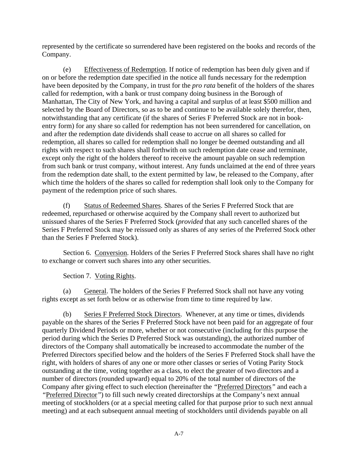represented by the certificate so surrendered have been registered on the books and records of the Company.

(e) Effectiveness of Redemption. If notice of redemption has been duly given and if on or before the redemption date specified in the notice all funds necessary for the redemption have been deposited by the Company, in trust for the *pro rata* benefit of the holders of the shares called for redemption, with a bank or trust company doing business in the Borough of Manhattan, The City of New York, and having a capital and surplus of at least \$500 million and selected by the Board of Directors, so as to be and continue to be available solely therefor, then, notwithstanding that any certificate (if the shares of Series F Preferred Stock are not in bookentry form) for any share so called for redemption has not been surrendered for cancellation, on and after the redemption date dividends shall cease to accrue on all shares so called for redemption, all shares so called for redemption shall no longer be deemed outstanding and all rights with respect to such shares shall forthwith on such redemption date cease and terminate, except only the right of the holders thereof to receive the amount payable on such redemption from such bank or trust company, without interest. Any funds unclaimed at the end of three years from the redemption date shall, to the extent permitted by law, be released to the Company, after which time the holders of the shares so called for redemption shall look only to the Company for payment of the redemption price of such shares.

(f) Status of Redeemed Shares. Shares of the Series F Preferred Stock that are redeemed, repurchased or otherwise acquired by the Company shall revert to authorized but unissued shares of the Series F Preferred Stock (*provided* that any such cancelled shares of the Series F Preferred Stock may be reissued only as shares of any series of the Preferred Stock other than the Series F Preferred Stock).

Section 6. Conversion. Holders of the Series F Preferred Stock shares shall have no right to exchange or convert such shares into any other securities.

Section 7. Voting Rights.

(a) General. The holders of the Series F Preferred Stock shall not have any voting rights except as set forth below or as otherwise from time to time required by law.

(b) Series F Preferred Stock Directors. Whenever, at any time or times, dividends payable on the shares of the Series F Preferred Stock have not been paid for an aggregate of four quarterly Dividend Periods or more, whether or not consecutive (including for this purpose the period during which the Series D Preferred Stock was outstanding), the authorized number of directors of the Company shall automatically be increased to accommodate the number of the Preferred Directors specified below and the holders of the Series F Preferred Stock shall have the right, with holders of shares of any one or more other classes or series of Voting Parity Stock outstanding at the time, voting together as a class, to elect the greater of two directors and a number of directors (rounded upward) equal to 20% of the total number of directors of the Company after giving effect to such election (hereinafter the *"*Preferred Directors*"* and each a *"*Preferred Director*"*) to fill such newly created directorships at the Company's next annual meeting of stockholders (or at a special meeting called for that purpose prior to such next annual meeting) and at each subsequent annual meeting of stockholders until dividends payable on all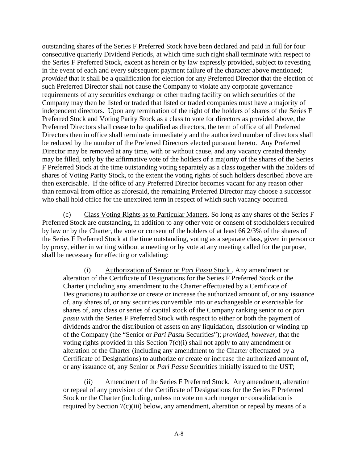outstanding shares of the Series F Preferred Stock have been declared and paid in full for four consecutive quarterly Dividend Periods, at which time such right shall terminate with respect to the Series F Preferred Stock, except as herein or by law expressly provided, subject to revesting in the event of each and every subsequent payment failure of the character above mentioned; *provided* that it shall be a qualification for election for any Preferred Director that the election of such Preferred Director shall not cause the Company to violate any corporate governance requirements of any securities exchange or other trading facility on which securities of the Company may then be listed or traded that listed or traded companies must have a majority of independent directors. Upon any termination of the right of the holders of shares of the Series F Preferred Stock and Voting Parity Stock as a class to vote for directors as provided above, the Preferred Directors shall cease to be qualified as directors, the term of office of all Preferred Directors then in office shall terminate immediately and the authorized number of directors shall be reduced by the number of the Preferred Directors elected pursuant hereto. Any Preferred Director may be removed at any time, with or without cause, and any vacancy created thereby may be filled, only by the affirmative vote of the holders of a majority of the shares of the Series F Preferred Stock at the time outstanding voting separately as a class together with the holders of shares of Voting Parity Stock, to the extent the voting rights of such holders described above are then exercisable. If the office of any Preferred Director becomes vacant for any reason other than removal from office as aforesaid, the remaining Preferred Director may choose a successor who shall hold office for the unexpired term in respect of which such vacancy occurred.

(c) Class Voting Rights as to Particular Matters. So long as any shares of the Series F Preferred Stock are outstanding, in addition to any other vote or consent of stockholders required by law or by the Charter, the vote or consent of the holders of at least 66 2/3% of the shares of the Series F Preferred Stock at the time outstanding, voting as a separate class, given in person or by proxy, either in writing without a meeting or by vote at any meeting called for the purpose, shall be necessary for effecting or validating:

(i) Authorization of Senior or *Pari Passu* Stock . Any amendment or alteration of the Certificate of Designations for the Series F Preferred Stock or the Charter (including any amendment to the Charter effectuated by a Certificate of Designations) to authorize or create or increase the authorized amount of, or any issuance of, any shares of, or any securities convertible into or exchangeable or exercisable for shares of, any class or series of capital stock of the Company ranking senior to or *pari passu* with the Series F Preferred Stock with respect to either or both the payment of dividends and/or the distribution of assets on any liquidation, dissolution or winding up of the Company (the "Senior or *Pari Passu* Securities"); *provided*, *however*, that the voting rights provided in this Section 7(c)(i) shall not apply to any amendment or alteration of the Charter (including any amendment to the Charter effectuated by a Certificate of Designations) to authorize or create or increase the authorized amount of, or any issuance of, any Senior or *Pari Passu* Securities initially issued to the UST;

(ii) Amendment of the Series F Preferred Stock. Any amendment, alteration or repeal of any provision of the Certificate of Designations for the Series F Preferred Stock or the Charter (including, unless no vote on such merger or consolidation is required by Section 7(c)(iii) below, any amendment, alteration or repeal by means of a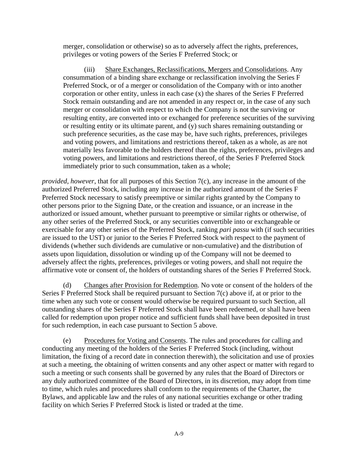merger, consolidation or otherwise) so as to adversely affect the rights, preferences, privileges or voting powers of the Series F Preferred Stock; or

(iii) Share Exchanges, Reclassifications, Mergers and Consolidations. Any consummation of a binding share exchange or reclassification involving the Series F Preferred Stock, or of a merger or consolidation of the Company with or into another corporation or other entity, unless in each case (x) the shares of the Series F Preferred Stock remain outstanding and are not amended in any respect or, in the case of any such merger or consolidation with respect to which the Company is not the surviving or resulting entity, are converted into or exchanged for preference securities of the surviving or resulting entity or its ultimate parent, and (y) such shares remaining outstanding or such preference securities, as the case may be, have such rights, preferences, privileges and voting powers, and limitations and restrictions thereof, taken as a whole, as are not materially less favorable to the holders thereof than the rights, preferences, privileges and voting powers, and limitations and restrictions thereof, of the Series F Preferred Stock immediately prior to such consummation, taken as a whole;

*provided*, *however*, that for all purposes of this Section 7(c), any increase in the amount of the authorized Preferred Stock, including any increase in the authorized amount of the Series F Preferred Stock necessary to satisfy preemptive or similar rights granted by the Company to other persons prior to the Signing Date, or the creation and issuance, or an increase in the authorized or issued amount, whether pursuant to preemptive or similar rights or otherwise, of any other series of the Preferred Stock, or any securities convertible into or exchangeable or exercisable for any other series of the Preferred Stock, ranking *pari passu* with (if such securities are issued to the UST) or junior to the Series F Preferred Stock with respect to the payment of dividends (whether such dividends are cumulative or non-cumulative) and the distribution of assets upon liquidation, dissolution or winding up of the Company will not be deemed to adversely affect the rights, preferences, privileges or voting powers, and shall not require the affirmative vote or consent of, the holders of outstanding shares of the Series F Preferred Stock.

(d) Changes after Provision for Redemption. No vote or consent of the holders of the Series F Preferred Stock shall be required pursuant to Section 7(c) above if, at or prior to the time when any such vote or consent would otherwise be required pursuant to such Section, all outstanding shares of the Series F Preferred Stock shall have been redeemed, or shall have been called for redemption upon proper notice and sufficient funds shall have been deposited in trust for such redemption, in each case pursuant to Section 5 above.

(e) Procedures for Voting and Consents. The rules and procedures for calling and conducting any meeting of the holders of the Series F Preferred Stock (including, without limitation, the fixing of a record date in connection therewith), the solicitation and use of proxies at such a meeting, the obtaining of written consents and any other aspect or matter with regard to such a meeting or such consents shall be governed by any rules that the Board of Directors or any duly authorized committee of the Board of Directors, in its discretion, may adopt from time to time, which rules and procedures shall conform to the requirements of the Charter, the Bylaws, and applicable law and the rules of any national securities exchange or other trading facility on which Series F Preferred Stock is listed or traded at the time.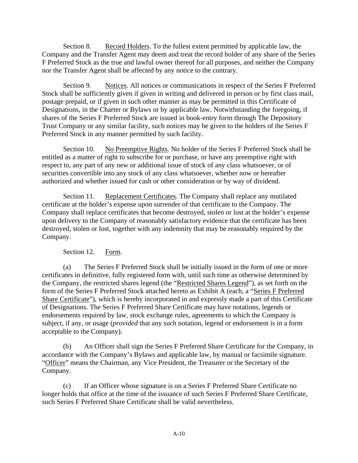Section 8. Record Holders. To the fullest extent permitted by applicable law, the Company and the Transfer Agent may deem and treat the record holder of any share of the Series F Preferred Stock as the true and lawful owner thereof for all purposes, and neither the Company nor the Transfer Agent shall be affected by any notice to the contrary.

Section 9. Notices. All notices or communications in respect of the Series F Preferred Stock shall be sufficiently given if given in writing and delivered in person or by first class mail, postage prepaid, or if given in such other manner as may be permitted in this Certificate of Designations, in the Charter or Bylaws or by applicable law. Notwithstanding the foregoing, if shares of the Series F Preferred Stock are issued in book-entry form through The Depository Trust Company or any similar facility, such notices may be given to the holders of the Series F Preferred Stock in any manner permitted by such facility.

Section 10. No Preemptive Rights. No holder of the Series F Preferred Stock shall be entitled as a matter of right to subscribe for or purchase, or have any preemptive right with respect to, any part of any new or additional issue of stock of any class whatsoever, or of securities convertible into any stock of any class whatsoever, whether now or hereafter authorized and whether issued for cash or other consideration or by way of dividend.

Section 11. Replacement Certificates. The Company shall replace any mutilated certificate at the holder's expense upon surrender of that certificate to the Company. The Company shall replace certificates that become destroyed, stolen or lost at the holder's expense upon delivery to the Company of reasonably satisfactory evidence that the certificate has been destroyed, stolen or lost, together with any indemnity that may be reasonably required by the Company.

# Section 12. Form.

(a) The Series F Preferred Stock shall be initially issued in the form of one or more certificates in definitive, fully registered form with, until such time as otherwise determined by the Company, the restricted shares legend (the "Restricted Shares Legend"), as set forth on the form of the Series F Preferred Stock attached hereto as Exhibit A (each, a "Series F Preferred Share Certificate"), which is hereby incorporated in and expressly made a part of this Certificate of Designations. The Series F Preferred Share Certificate may have notations, legends or endorsements required by law, stock exchange rules, agreements to which the Company is subject, if any, or usage (*provided* that any such notation, legend or endorsement is in a form acceptable to the Company).

(b) An Officer shall sign the Series F Preferred Share Certificate for the Company, in accordance with the Company's Bylaws and applicable law, by manual or facsimile signature. "Officer" means the Chairman, any Vice President, the Treasurer or the Secretary of the Company.

(c) If an Officer whose signature is on a Series F Preferred Share Certificate no longer holds that office at the time of the issuance of such Series F Preferred Share Certificate, such Series F Preferred Share Certificate shall be valid nevertheless.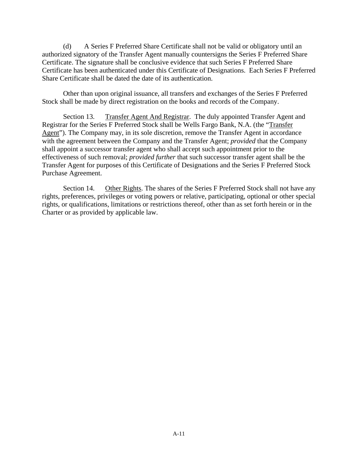(d) A Series F Preferred Share Certificate shall not be valid or obligatory until an authorized signatory of the Transfer Agent manually countersigns the Series F Preferred Share Certificate. The signature shall be conclusive evidence that such Series F Preferred Share Certificate has been authenticated under this Certificate of Designations. Each Series F Preferred Share Certificate shall be dated the date of its authentication.

Other than upon original issuance, all transfers and exchanges of the Series F Preferred Stock shall be made by direct registration on the books and records of the Company.

<span id="page-14-0"></span>Section 13. Transfer Agent And Registrar. The duly appointed Transfer Agent and Registrar for the Series F Preferred Stock shall be Wells Fargo Bank, N.A. (the "Transfer Agent"). The Company may, in its sole discretion, remove the Transfer Agent in accordance with the agreement between the Company and the Transfer Agent; *provided* that the Company shall appoint a successor transfer agent who shall accept such appointment prior to the effectiveness of such removal; *provided further* that such successor transfer agent shall be the Transfer Agent for purposes of this Certificate of Designations and the Series F Preferred Stock Purchase Agreement.

Section 14. Other Rights. The shares of the Series F Preferred Stock shall not have any rights, preferences, privileges or voting powers or relative, participating, optional or other special rights, or qualifications, limitations or restrictions thereof, other than as set forth herein or in the Charter or as provided by applicable law.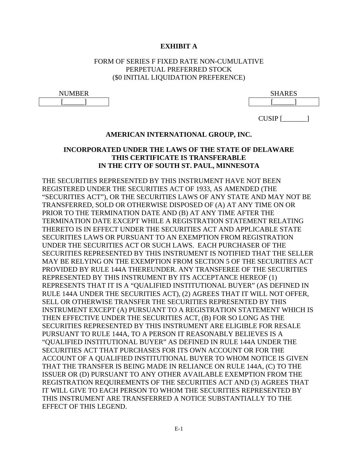## **EXHIBIT A**

# FORM OF SERIES F FIXED RATE NON-CUMULATIVE PERPETUAL PREFERRED STOCK (\$0 INITIAL LIQUIDATION PREFERENCE)

| $\sqrt{1 + \pi}$ in the state of $\pi$<br>84 H<br>N I<br>-<br>. | GITAPRA<br>.<br>◡<br><b>DITI TILLO</b> |
|-----------------------------------------------------------------|----------------------------------------|
|                                                                 |                                        |

| <b>JUMBER</b> | <b>SHARES</b><br>משעד<br><b>DITI</b> |
|---------------|--------------------------------------|
|               |                                      |

CUSIP [\_\_\_\_\_\_\_]

### **AMERICAN INTERNATIONAL GROUP, INC.**

# **INCORPORATED UNDER THE LAWS OF THE STATE OF DELAWARE THIS CERTIFICATE IS TRANSFERABLE IN THE CITY OF SOUTH ST. PAUL, MINNESOTA**

THE SECURITIES REPRESENTED BY THIS INSTRUMENT HAVE NOT BEEN REGISTERED UNDER THE SECURITIES ACT OF 1933, AS AMENDED (THE "SECURITIES ACT"), OR THE SECURITIES LAWS OF ANY STATE AND MAY NOT BE TRANSFERRED, SOLD OR OTHERWISE DISPOSED OF (A) AT ANY TIME ON OR PRIOR TO THE TERMINATION DATE AND (B) AT ANY TIME AFTER THE TERMINATION DATE EXCEPT WHILE A REGISTRATION STATEMENT RELATING THERETO IS IN EFFECT UNDER THE SECURITIES ACT AND APPLICABLE STATE SECURITIES LAWS OR PURSUANT TO AN EXEMPTION FROM REGISTRATION UNDER THE SECURITIES ACT OR SUCH LAWS. EACH PURCHASER OF THE SECURITIES REPRESENTED BY THIS INSTRUMENT IS NOTIFIED THAT THE SELLER MAY BE RELYING ON THE EXEMPTION FROM SECTION 5 OF THE SECURITIES ACT PROVIDED BY RULE 144A THEREUNDER. ANY TRANSFEREE OF THE SECURITIES REPRESENTED BY THIS INSTRUMENT BY ITS ACCEPTANCE HEREOF (1) REPRESENTS THAT IT IS A "QUALIFIED INSTITUTIONAL BUYER" (AS DEFINED IN RULE 144A UNDER THE SECURITIES ACT), (2) AGREES THAT IT WILL NOT OFFER, SELL OR OTHERWISE TRANSFER THE SECURITIES REPRESENTED BY THIS INSTRUMENT EXCEPT (A) PURSUANT TO A REGISTRATION STATEMENT WHICH IS THEN EFFECTIVE UNDER THE SECURITIES ACT, (B) FOR SO LONG AS THE SECURITIES REPRESENTED BY THIS INSTRUMENT ARE ELIGIBLE FOR RESALE PURSUANT TO RULE 144A, TO A PERSON IT REASONABLY BELIEVES IS A "QUALIFIED INSTITUTIONAL BUYER" AS DEFINED IN RULE 144A UNDER THE SECURITIES ACT THAT PURCHASES FOR ITS OWN ACCOUNT OR FOR THE ACCOUNT OF A QUALIFIED INSTITUTIONAL BUYER TO WHOM NOTICE IS GIVEN THAT THE TRANSFER IS BEING MADE IN RELIANCE ON RULE 144A, (C) TO THE ISSUER OR (D) PURSUANT TO ANY OTHER AVAILABLE EXEMPTION FROM THE REGISTRATION REQUIREMENTS OF THE SECURITIES ACT AND (3) AGREES THAT IT WILL GIVE TO EACH PERSON TO WHOM THE SECURITIES REPRESENTED BY THIS INSTRUMENT ARE TRANSFERRED A NOTICE SUBSTANTIALLY TO THE EFFECT OF THIS LEGEND.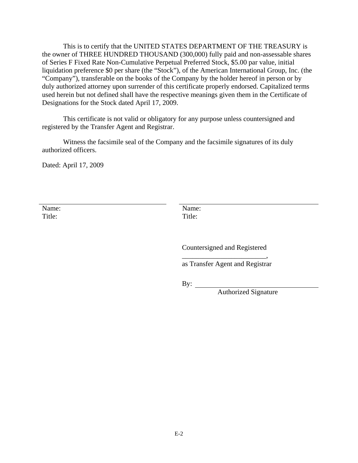This is to certify that the UNITED STATES DEPARTMENT OF THE TREASURY is the owner of THREE HUNDRED THOUSAND (300,000) fully paid and non-assessable shares of Series F Fixed Rate Non-Cumulative Perpetual Preferred Stock, \$5.00 par value, initial liquidation preference \$0 per share (the "Stock"), of the American International Group, Inc. (the "Company"), transferable on the books of the Company by the holder hereof in person or by duly authorized attorney upon surrender of this certificate properly endorsed. Capitalized terms used herein but not defined shall have the respective meanings given them in the Certificate of Designations for the Stock dated April 17, 2009.

This certificate is not valid or obligatory for any purpose unless countersigned and registered by the Transfer Agent and Registrar.

Witness the facsimile seal of the Company and the facsimile signatures of its duly authorized officers.

Dated: April 17, 2009

Name: Title:

 Name: Title:

 Countersigned and Registered \_\_\_\_\_\_\_\_\_\_\_\_\_\_\_\_\_\_\_\_\_\_\_\_,

as Transfer Agent and Registrar

By:

Authorized Signature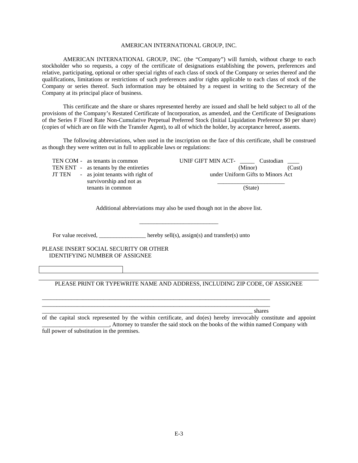#### AMERICAN INTERNATIONAL GROUP, INC.

AMERICAN INTERNATIONAL GROUP, INC. (the "Company") will furnish, without charge to each stockholder who so requests, a copy of the certificate of designations establishing the powers, preferences and relative, participating, optional or other special rights of each class of stock of the Company or series thereof and the qualifications, limitations or restrictions of such preferences and/or rights applicable to each class of stock of the Company or series thereof. Such information may be obtained by a request in writing to the Secretary of the Company at its principal place of business.

This certificate and the share or shares represented hereby are issued and shall be held subject to all of the provisions of the Company's Restated Certificate of Incorporation, as amended, and the Certificate of Designations of the Series F Fixed Rate Non-Cumulative Perpetual Preferred Stock (Initial Liquidation Preference \$0 per share) (copies of which are on file with the Transfer Agent), to all of which the holder, by acceptance hereof, assents.

The following abbreviations, when used in the inscription on the face of this certificate, shall be construed as though they were written out in full to applicable laws or regulations:

| UNIF GIFT MIN ACT-<br>Custodian   |
|-----------------------------------|
| (Minor)<br>(Cust)                 |
| under Uniform Gifts to Minors Act |
| (State)                           |
|                                   |

Additional abbreviations may also be used though not in the above list.

\_\_\_\_\_\_\_\_\_\_\_\_\_\_\_\_\_\_\_\_\_\_\_\_\_\_\_

For value received, \_\_\_\_\_\_\_\_\_\_\_\_\_ hereby sell(s), assign(s) and transfer(s) unto

\_\_\_\_\_\_\_\_\_\_\_\_\_\_\_\_\_\_\_\_\_\_\_\_\_\_\_\_\_\_\_\_\_\_\_\_\_\_\_\_\_\_\_\_\_\_\_\_\_\_\_\_\_\_\_\_\_\_\_\_\_\_\_\_\_\_\_\_\_\_\_\_\_\_\_\_\_\_ \_\_\_\_\_\_\_\_\_\_\_\_\_\_\_\_\_\_\_\_\_\_\_\_\_\_\_\_\_\_\_\_\_\_\_\_\_\_\_\_\_\_\_\_\_\_\_\_\_\_\_\_\_\_\_\_\_\_\_\_\_\_\_\_\_\_\_\_\_\_\_\_\_\_\_\_\_\_

PLEASE INSERT SOCIAL SECURITY OR OTHER IDENTIFYING NUMBER OF ASSIGNEE

PLEASE PRINT OR TYPEWRITE NAME AND ADDRESS, INCLUDING ZIP CODE, OF ASSIGNEE

\_\_\_\_\_\_\_\_\_\_\_\_\_\_\_\_\_\_\_\_\_\_\_\_\_\_\_\_\_\_\_\_\_\_\_\_\_\_\_\_\_\_\_\_\_\_\_\_\_\_\_\_\_\_\_\_\_\_\_\_\_\_\_\_\_\_\_\_\_\_\_\_ shares

of the capital stock represented by the within certificate, and do(es) hereby irrevocably constitute and appoint \_\_\_\_\_\_\_\_\_\_\_\_\_\_\_\_\_\_\_\_\_\_\_, Attorney to transfer the said stock on the books of the within named Company with full power of substitution in the premises.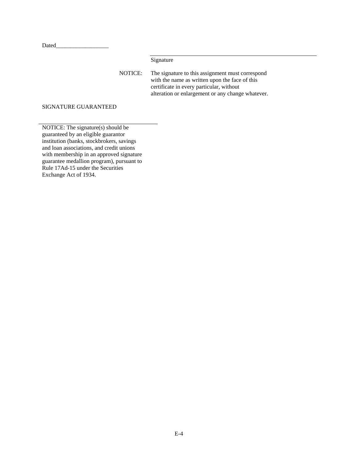Dated\_\_\_\_\_\_\_\_\_\_\_\_\_\_\_\_\_\_

Signature

NOTICE: The signature to this assignment must correspond with the name as written upon the face of this certificate in every particular, without alteration or enlargement or any change whatever.

### SIGNATURE GUARANTEED

NOTICE: The signature(s) should be guaranteed by an eligible guarantor institution (banks, stockbrokers, savings and loan associations, and credit unions with membership in an approved signature guarantee medallion program), pursuant to Rule 17Ad-15 under the Securities Exchange Act of 1934.